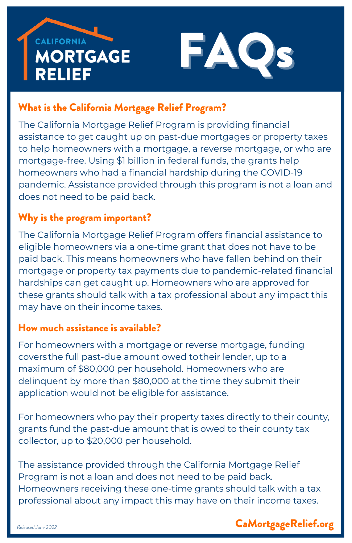



## What is the California Mortgage Relief Program?

The California Mortgage Relief Program is providing financial assistance to get caught up on past-due mortgages or property taxes to help homeowners with a mortgage, a reverse mortgage, or who are mortgage-free. Using \$1 billion in federal funds, the grants help homeowners who had a financial hardship during the COVID-19 pandemic. Assistance provided through this program is not a loan and does not need to be paid back.

### Why is the program important?

The California Mortgage Relief Program offers financial assistance to eligible homeowners via a one-time grant that does not have to be paid back. This means homeowners who have fallen behind on their mortgage or property tax payments due to pandemic-related financial hardships can get caught up. Homeowners who are approved for these grants should talk with a tax professional about any impact this may have on their income taxes.

#### How much assistance is available?

For homeowners with a mortgage or reverse mortgage, funding covers the full past-due amount owed totheir lender, up to a maximum of \$80,000 per household. Homeowners who are delinquent by more than \$80,000 at the time they submit their application would not be eligible for assistance.

For homeowners who pay their property taxes directly to their county, grants fund the past-due amount that is owed to their county tax collector, up to \$20,000 per household.

The assistance provided through the California Mortgage Relief Program is not a loan and does not need to be paid back. Homeowners receiving these one-time grants should talk with a tax professional about any impact this may have on their income taxes.

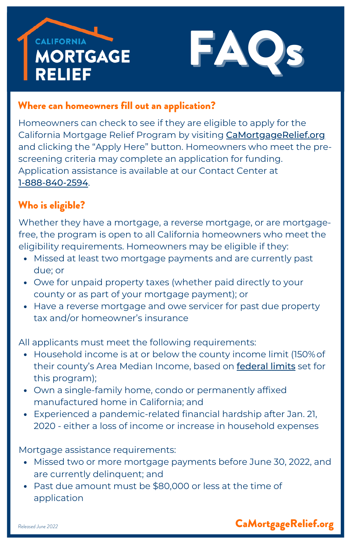



#### Where can homeowners fill out an application?

Homeowners can check to see if they are eligible to apply for the California Mortgage Relief Program by visiting [CaMortgageRelief.org](https://camortgagerelief.org/) and clicking the "Apply Here" button. Homeowners who meet the prescreening criteria may complete an application for funding. Application assistance is available at our Contact Center at 1-888-840-2594.

# Who is eligible?

Whether they have a mortgage, a reverse mortgage, or are mortgagefree, the program is open to all California homeowners who meet the eligibility requirements. Homeowners may be eligible if they:

- Missed at least two mortgage payments and are currently past due; or
- Owe for unpaid property taxes (whether paid directly to your county or as part of your mortgage payment); or
- Have a reverse mortgage and owe servicer for past due property tax and/or homeowner's insurance

All applicants must meet the following requirements:

- Household income is at or below the county income limit (150%of their county's Area Median Income, based on [federal](https://www.huduser.gov/portal/datasets/il/il2022/2022sum_haf.odn) limits set for this program);
- Own a single-family home, condo or permanently affixed manufactured home in California; and
- Experienced a pandemic-related financial hardship after Jan. 21, 2020 - either a loss of income or increase in household expenses

Mortgage assistance requirements:

- Missed two or more mortgage payments before June 30, 2022, and are currently delinquent; and
- Past due amount must be \$80,000 or less at the time of application